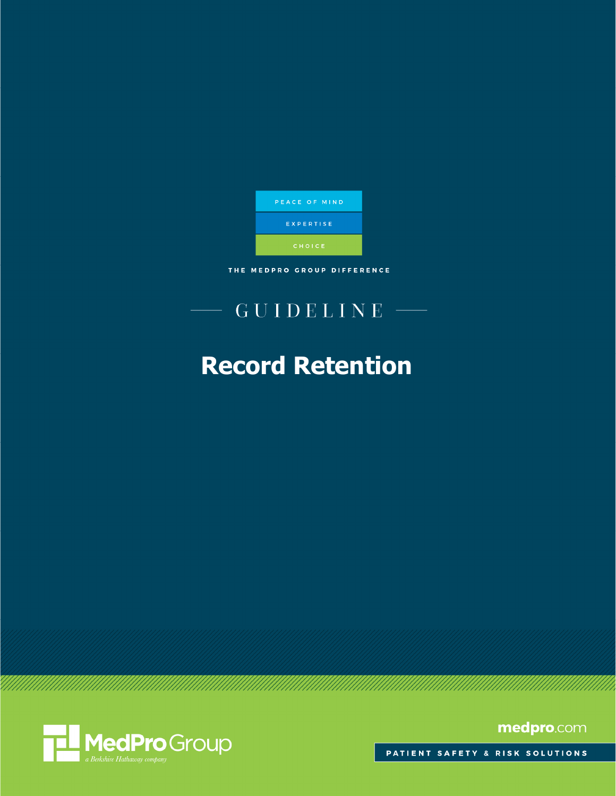

THE MEDPRO GROUP DIFFERENCE

# $GUIDELINE$  -

# **Record Retention**



medpro.com

PATIENT SAFETY & RISK SOLUTIONS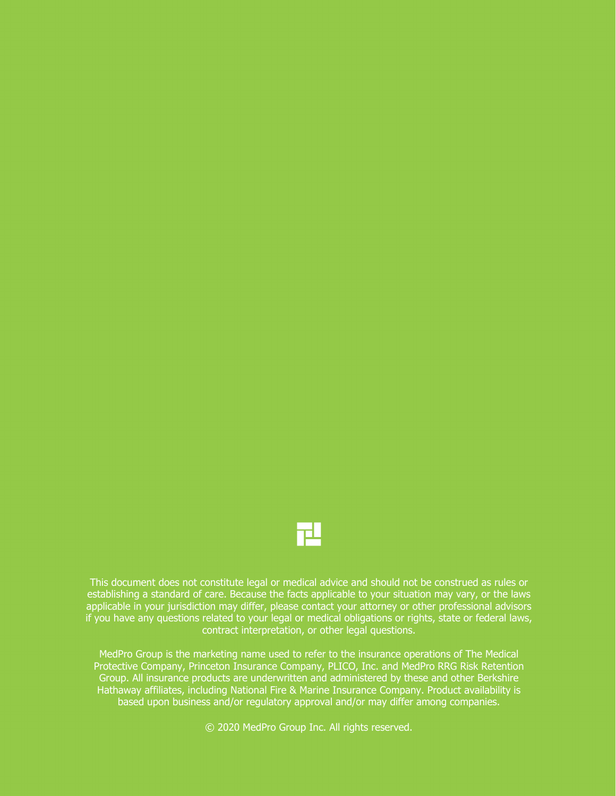

This document does not constitute legal or medical advice and should not be construed as rules or establishing a standard of care. Because the facts applicable to your situation may vary, or the laws applicable in your jurisdiction may differ, please contact your attorney or other professional advisors if you have any questions related to your legal or medical obligations or rights, state or federal laws, contract interpretation, or other legal questions.

MedPro Group is the marketing name used to refer to the insurance operations of The Medical Protective Company, Princeton Insurance Company, PLICO, Inc. and MedPro RRG Risk Retention Group. All insurance products are underwritten and administered by these and other Berkshire Hathaway affiliates, including National Fire & Marine Insurance Company. Product availability is based upon business and/or regulatory approval and/or may differ among companies.

© 2020 MedPro Group Inc. All rights reserved.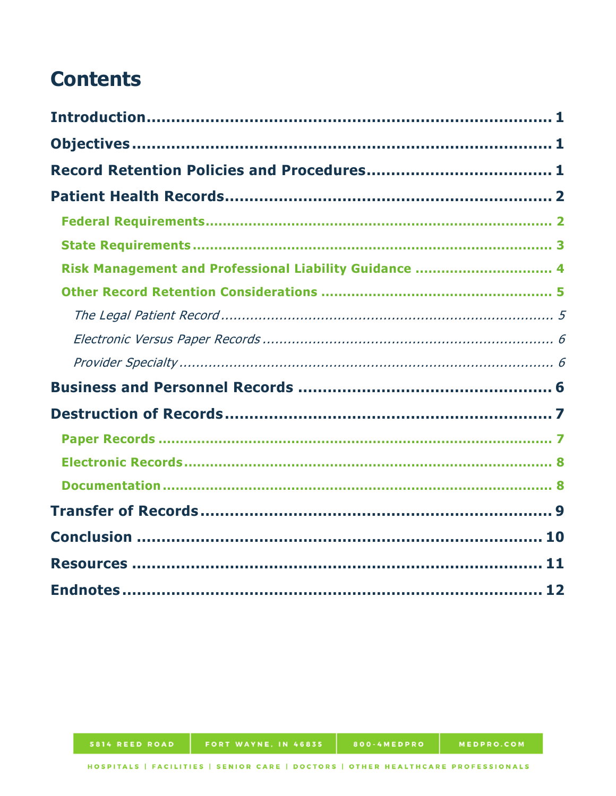# **Contents**

| Risk Management and Professional Liability Guidance  4 |
|--------------------------------------------------------|
|                                                        |
|                                                        |
|                                                        |
|                                                        |
|                                                        |
|                                                        |
|                                                        |
|                                                        |
|                                                        |
|                                                        |
|                                                        |
|                                                        |
|                                                        |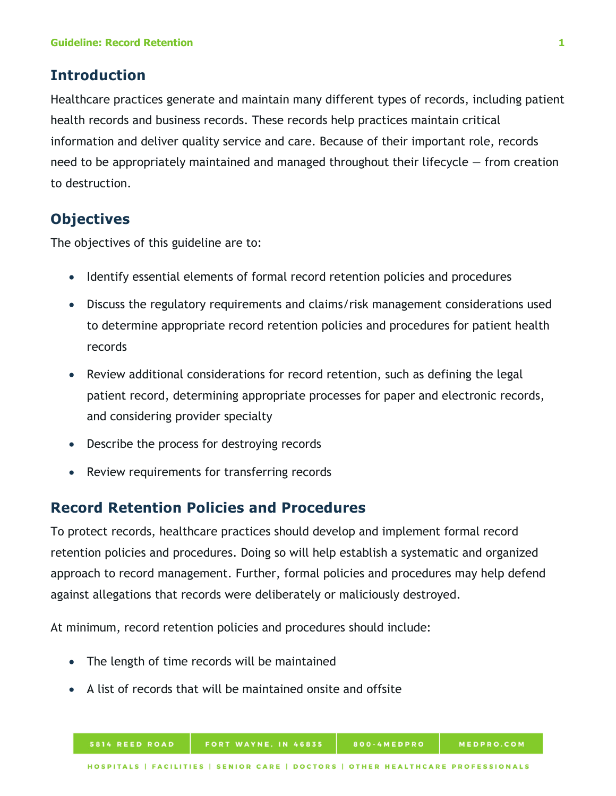## <span id="page-4-0"></span>**Introduction**

Healthcare practices generate and maintain many different types of records, including patient health records and business records. These records help practices maintain critical information and deliver quality service and care. Because of their important role, records need to be appropriately maintained and managed throughout their lifecycle  $-$  from creation to destruction.

# <span id="page-4-1"></span>**Objectives**

The objectives of this guideline are to:

- Identify essential elements of formal record retention policies and procedures
- Discuss the regulatory requirements and claims/risk management considerations used to determine appropriate record retention policies and procedures for patient health records
- Review additional considerations for record retention, such as defining the legal patient record, determining appropriate processes for paper and electronic records, and considering provider specialty
- Describe the process for destroying records
- Review requirements for transferring records

## <span id="page-4-2"></span>**Record Retention Policies and Procedures**

To protect records, healthcare practices should develop and implement formal record retention policies and procedures. Doing so will help establish a systematic and organized approach to record management. Further, formal policies and procedures may help defend against allegations that records were deliberately or maliciously destroyed.

At minimum, record retention policies and procedures should include:

- The length of time records will be maintained
- A list of records that will be maintained onsite and offsite

800-4MEDPRO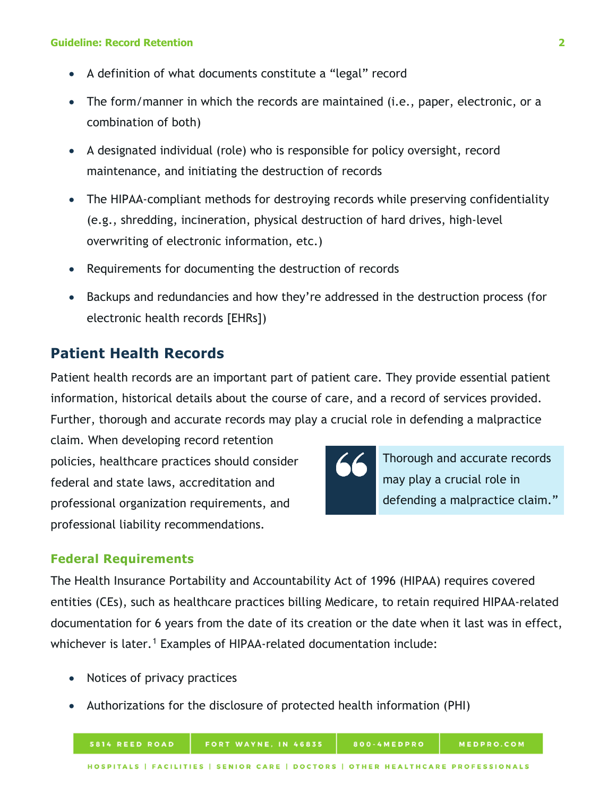- A definition of what documents constitute a "legal" record
- The form/manner in which the records are maintained (i.e., paper, electronic, or a combination of both)
- A designated individual (role) who is responsible for policy oversight, record maintenance, and initiating the destruction of records
- The HIPAA-compliant methods for destroying records while preserving confidentiality (e.g., shredding, incineration, physical destruction of hard drives, high-level overwriting of electronic information, etc.)
- Requirements for documenting the destruction of records
- Backups and redundancies and how they're addressed in the destruction process (for electronic health records [EHRs])

# <span id="page-5-0"></span>**Patient Health Records**

Patient health records are an important part of patient care. They provide essential patient information, historical details about the course of care, and a record of services provided. Further, thorough and accurate records may play a crucial role in defending a malpractice

claim. When developing record retention policies, healthcare practices should consider federal and state laws, accreditation and professional organization requirements, and professional liability recommendations.



Thorough and accurate records may play a crucial role in defending a malpractice claim."

## <span id="page-5-1"></span>**Federal Requirements**

The Health Insurance Portability and Accountability Act of 1996 (HIPAA) requires covered entities (CEs), such as healthcare practices billing Medicare, to retain required HIPAA-related documentation for 6 years from the date of its creation or the date when it last was in effect, whichever is later.<sup>[1](#page-15-0)</sup> Examples of HIPAA-related documentation include:

- Notices of privacy practices
- Authorizations for the disclosure of protected health information (PHI)

FORT WAYNE, IN 46835

800-4MEDPRO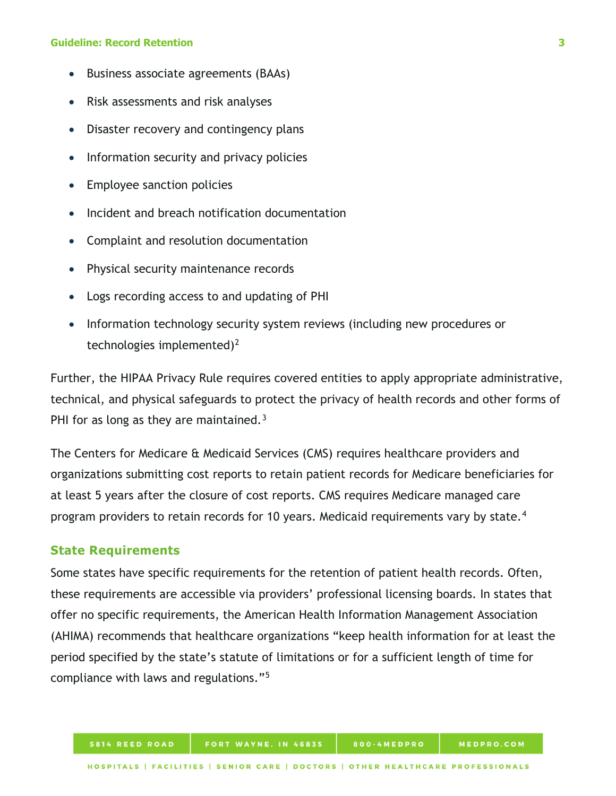- Business associate agreements (BAAs)
- Risk assessments and risk analyses
- Disaster recovery and contingency plans
- Information security and privacy policies
- Employee sanction policies
- Incident and breach notification documentation
- Complaint and resolution documentation
- Physical security maintenance records
- Logs recording access to and updating of PHI
- Information technology security system reviews (including new procedures or technologies implemented)<sup>[2](#page-15-1)</sup>

Further, the HIPAA Privacy Rule requires covered entities to apply appropriate administrative, technical, and physical safeguards to protect the privacy of health records and other forms of PHI for as long as they are maintained.<sup>[3](#page-15-2)</sup>

The Centers for Medicare & Medicaid Services (CMS) requires healthcare providers and organizations submitting cost reports to retain patient records for Medicare beneficiaries for at least 5 years after the closure of cost reports. CMS requires Medicare managed care program providers to retain records for 10 years. Medicaid requirements vary by state.<sup>[4](#page-15-3)</sup>

### <span id="page-6-0"></span>**State Requirements**

Some states have specific requirements for the retention of patient health records. Often, these requirements are accessible via providers' professional licensing boards. In states that offer no specific requirements, the American Health Information Management Association (AHIMA) recommends that healthcare organizations "keep health information for at least the period specified by the state's statute of limitations or for a sufficient length of time for compliance with laws and regulations."[5](#page-15-4)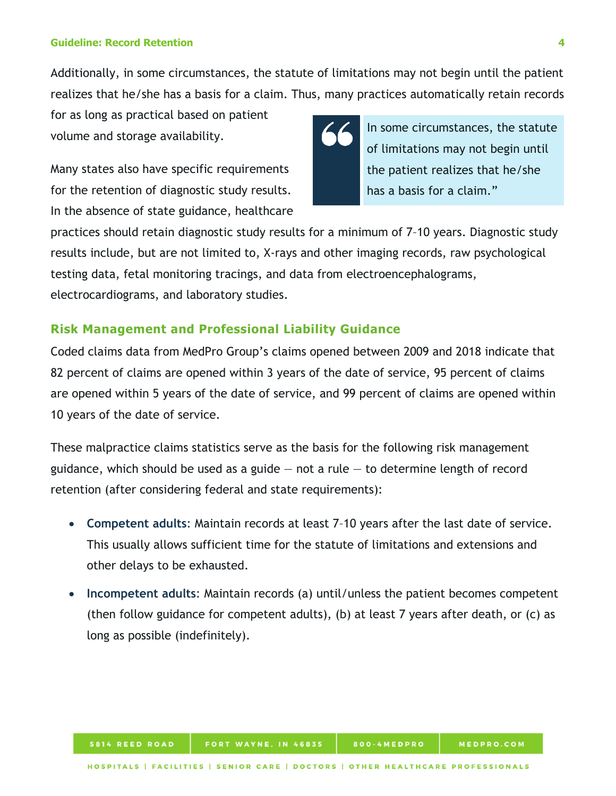Additionally, in some circumstances, the statute of limitations may not begin until the patient realizes that he/she has a basis for a claim. Thus, many practices automatically retain records

for as long as practical based on patient volume and storage availability.

Many states also have specific requirements for the retention of diagnostic study results. In the absence of state guidance, healthcare



In some circumstances, the statute of limitations may not begin until the patient realizes that he/she has a basis for a claim."

practices should retain diagnostic study results for a minimum of 7–10 years. Diagnostic study results include, but are not limited to, X-rays and other imaging records, raw psychological testing data, fetal monitoring tracings, and data from electroencephalograms, electrocardiograms, and laboratory studies.

## <span id="page-7-0"></span>**Risk Management and Professional Liability Guidance**

Coded claims data from MedPro Group's claims opened between 2009 and 2018 indicate that 82 percent of claims are opened within 3 years of the date of service, 95 percent of claims are opened within 5 years of the date of service, and 99 percent of claims are opened within 10 years of the date of service.

These malpractice claims statistics serve as the basis for the following risk management guidance, which should be used as a guide  $-$  not a rule  $-$  to determine length of record retention (after considering federal and state requirements):

- **Competent adults**: Maintain records at least 7–10 years after the last date of service. This usually allows sufficient time for the statute of limitations and extensions and other delays to be exhausted.
- **Incompetent adults**: Maintain records (a) until/unless the patient becomes competent (then follow guidance for competent adults), (b) at least 7 years after death, or (c) as long as possible (indefinitely).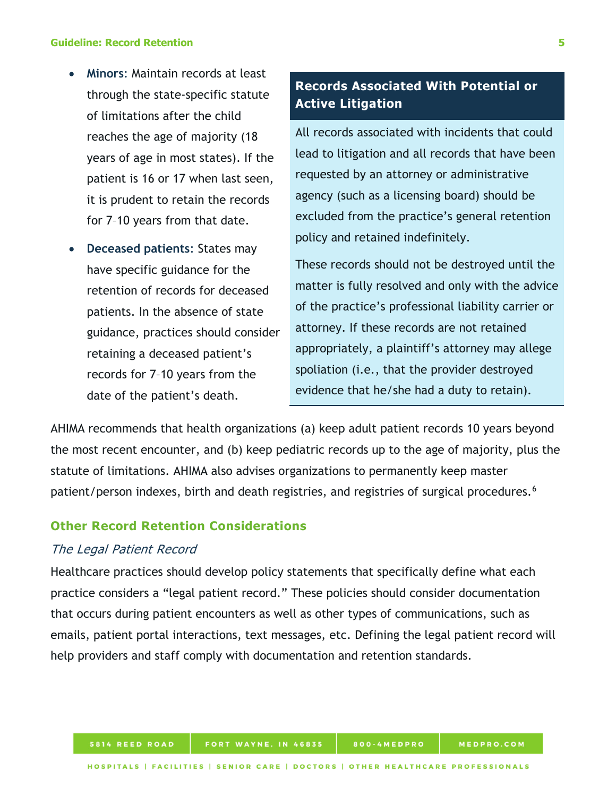- **Minors**: Maintain records at least through the state-specific statute of limitations after the child reaches the age of majority (18 years of age in most states). If the patient is 16 or 17 when last seen, it is prudent to retain the records for 7–10 years from that date.
- **Deceased patients**: States may have specific guidance for the retention of records for deceased patients. In the absence of state guidance, practices should consider retaining a deceased patient's records for 7–10 years from the date of the patient's death.

# **Records Associated With Potential or Active Litigation**

All records associated with incidents that could lead to litigation and all records that have been requested by an attorney or administrative agency (such as a licensing board) should be excluded from the practice's general retention policy and retained indefinitely.

These records should not be destroyed until the matter is fully resolved and only with the advice of the practice's professional liability carrier or attorney. If these records are not retained appropriately, a plaintiff's attorney may allege spoliation (i.e., that the provider destroyed evidence that he/she had a duty to retain).

AHIMA recommends that health organizations (a) keep adult patient records 10 years beyond the most recent encounter, and (b) keep pediatric records up to the age of majority, plus the statute of limitations. AHIMA also advises organizations to permanently keep master patient/person indexes, birth and death registries, and registries of surgical procedures.<sup>[6](#page-15-5)</sup>

## <span id="page-8-0"></span>**Other Record Retention Considerations**

### <span id="page-8-1"></span>The Legal Patient Record

Healthcare practices should develop policy statements that specifically define what each practice considers a "legal patient record." These policies should consider documentation that occurs during patient encounters as well as other types of communications, such as emails, patient portal interactions, text messages, etc. Defining the legal patient record will help providers and staff comply with documentation and retention standards.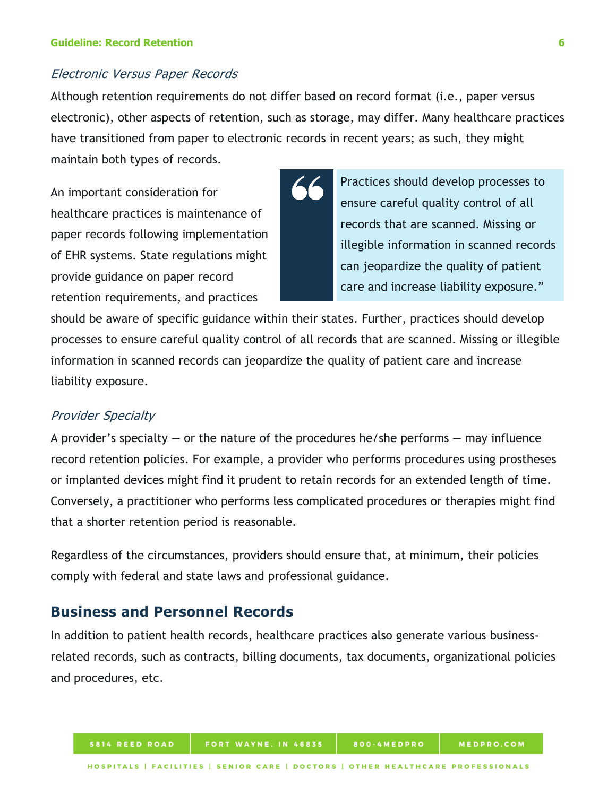#### <span id="page-9-0"></span>Electronic Versus Paper Records

Although retention requirements do not differ based on record format (i.e., paper versus electronic), other aspects of retention, such as storage, may differ. Many healthcare practices have transitioned from paper to electronic records in recent years; as such, they might maintain both types of records.

An important consideration for healthcare practices is maintenance of paper records following implementation of EHR systems. State regulations might provide guidance on paper record retention requirements, and practices



Practices should develop processes to ensure careful quality control of all records that are scanned. Missing or illegible information in scanned records can jeopardize the quality of patient care and increase liability exposure."

should be aware of specific guidance within their states. Further, practices should develop processes to ensure careful quality control of all records that are scanned. Missing or illegible information in scanned records can jeopardize the quality of patient care and increase liability exposure.

### <span id="page-9-1"></span>Provider Specialty

A provider's specialty  $-$  or the nature of the procedures he/she performs  $-$  may influence record retention policies. For example, a provider who performs procedures using prostheses or implanted devices might find it prudent to retain records for an extended length of time. Conversely, a practitioner who performs less complicated procedures or therapies might find that a shorter retention period is reasonable.

Regardless of the circumstances, providers should ensure that, at minimum, their policies comply with federal and state laws and professional guidance.

## <span id="page-9-2"></span>**Business and Personnel Records**

In addition to patient health records, healthcare practices also generate various businessrelated records, such as contracts, billing documents, tax documents, organizational policies and procedures, etc.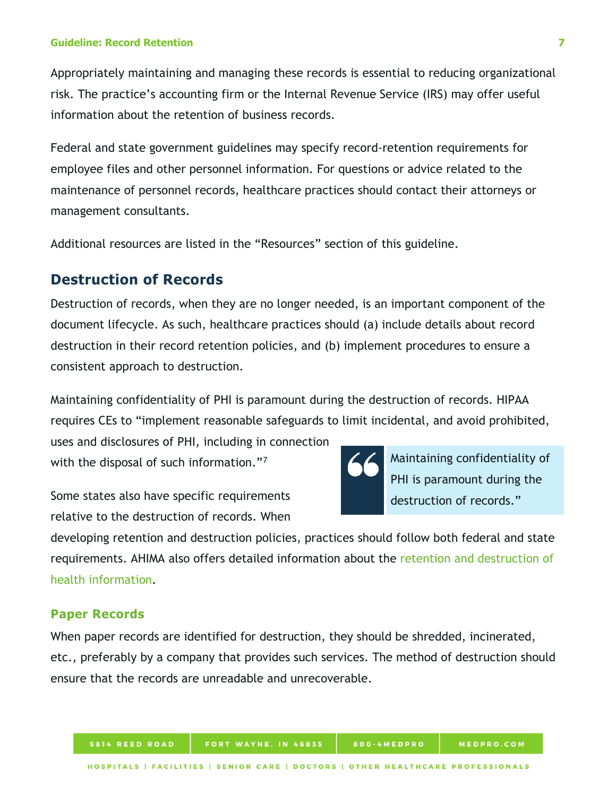Appropriately maintaining and managing these records is essential to reducing organizational risk. The practice's accounting firm or the Internal Revenue Service (IRS) may offer useful information about the retention of business records.

Federal and state government guidelines may specify record-retention requirements for employee files and other personnel information. For questions or advice related to the maintenance of personnel records, healthcare practices should contact their attorneys or management consultants.

Additional resources are listed in the "Resources" section of this guideline.

## <span id="page-10-0"></span>**Destruction of Records**

Destruction of records, when they are no longer needed, is an important component of the document lifecycle. As such, healthcare practices should (a) include details about record destruction in their record retention policies, and (b) implement procedures to ensure a consistent approach to destruction.

Maintaining confidentiality of PHI is paramount during the destruction of records. HIPAA requires CEs to "implement reasonable safeguards to limit incidental, and avoid prohibited,

uses and disclosures of PHI, including in connection with the disposal of such information."<sup>[7](#page-15-6)</sup>

Some states also have specific requirements relative to the destruction of records. When



Maintaining confidentiality of PHI is paramount during the destruction of records."

developing retention and destruction policies, practices should follow both federal and state requirements. AHIMA also offers detailed information about the [retention and destruction of](http://library.ahima.org/PB/RetentionDestruction#.Xw8p7S5Kg2x)  [health information.](http://library.ahima.org/PB/RetentionDestruction#.Xw8p7S5Kg2x)

### <span id="page-10-1"></span>**Paper Records**

When paper records are identified for destruction, they should be shredded, incinerated, etc., preferably by a company that provides such services. The method of destruction should ensure that the records are unreadable and unrecoverable.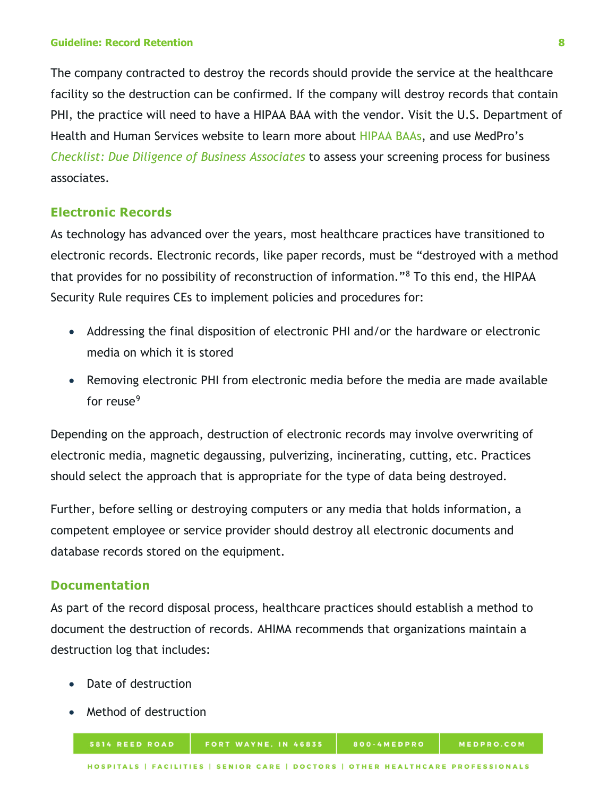The company contracted to destroy the records should provide the service at the healthcare facility so the destruction can be confirmed. If the company will destroy records that contain PHI, the practice will need to have a HIPAA BAA with the vendor. Visit the U.S. Department of Health and Human Services website to learn more about [HIPAA BAAs,](https://www.hhs.gov/hipaa/for-professionals/covered-entities/sample-business-associate-agreement-provisions/index.html) and use MedPro's *Checklist: Due Diligence of Business Associates* to assess your screening process for business associates.

### <span id="page-11-0"></span>**Electronic Records**

As technology has advanced over the years, most healthcare practices have transitioned to electronic records. Electronic records, like paper records, must be "destroyed with a method that provides for no possibility of reconstruction of information."[8](#page-15-7) To this end, the HIPAA Security Rule requires CEs to implement policies and procedures for:

- Addressing the final disposition of electronic PHI and/or the hardware or electronic media on which it is stored
- Removing electronic PHI from electronic media before the media are made available for reuse $9$

Depending on the approach, destruction of electronic records may involve overwriting of electronic media, magnetic degaussing, pulverizing, incinerating, cutting, etc. Practices should select the approach that is appropriate for the type of data being destroyed.

Further, before selling or destroying computers or any media that holds information, a competent employee or service provider should destroy all electronic documents and database records stored on the equipment.

#### <span id="page-11-1"></span>**Documentation**

As part of the record disposal process, healthcare practices should establish a method to document the destruction of records. AHIMA recommends that organizations maintain a destruction log that includes:

- Date of destruction
- Method of destruction

5814 REED ROAD

FORT WAYNE, IN 46835

800-4MEDPRO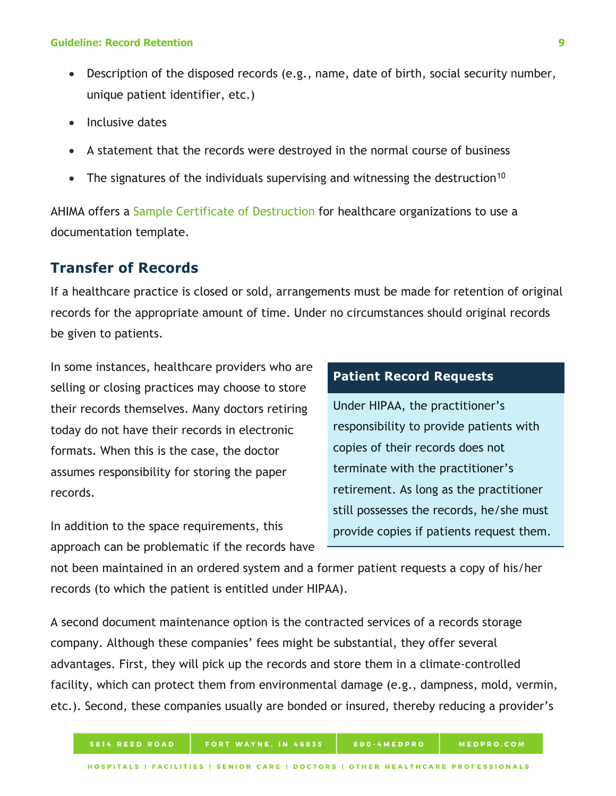- Description of the disposed records (e.g., name, date of birth, social security number, unique patient identifier, etc.)
- Inclusive dates
- A statement that the records were destroyed in the normal course of business
- The signatures of the individuals supervising and witnessing the destruction<sup>[10](#page-15-9)</sup>

AHIMA offers a [Sample Certificate of Destruction](http://library.ahima.org/doc?oid=105016) for healthcare organizations to use a documentation template.

## <span id="page-12-0"></span>**Transfer of Records**

If a healthcare practice is closed or sold, arrangements must be made for retention of original records for the appropriate amount of time. Under no circumstances should original records be given to patients.

In some instances, healthcare providers who are selling or closing practices may choose to store their records themselves. Many doctors retiring today do not have their records in electronic formats. When this is the case, the doctor assumes responsibility for storing the paper records.

In addition to the space requirements, this approach can be problematic if the records have

## **Patient Record Requests**

Under HIPAA, the practitioner's responsibility to provide patients with copies of their records does not terminate with the practitioner's retirement. As long as the practitioner still possesses the records, he/she must provide copies if patients request them.

not been maintained in an ordered system and a former patient requests a copy of his/her records (to which the patient is entitled under HIPAA).

A second document maintenance option is the contracted services of a records storage company. Although these companies' fees might be substantial, they offer several advantages. First, they will pick up the records and store them in a climate-controlled facility, which can protect them from environmental damage (e.g., dampness, mold, vermin, etc.). Second, these companies usually are bonded or insured, thereby reducing a provider's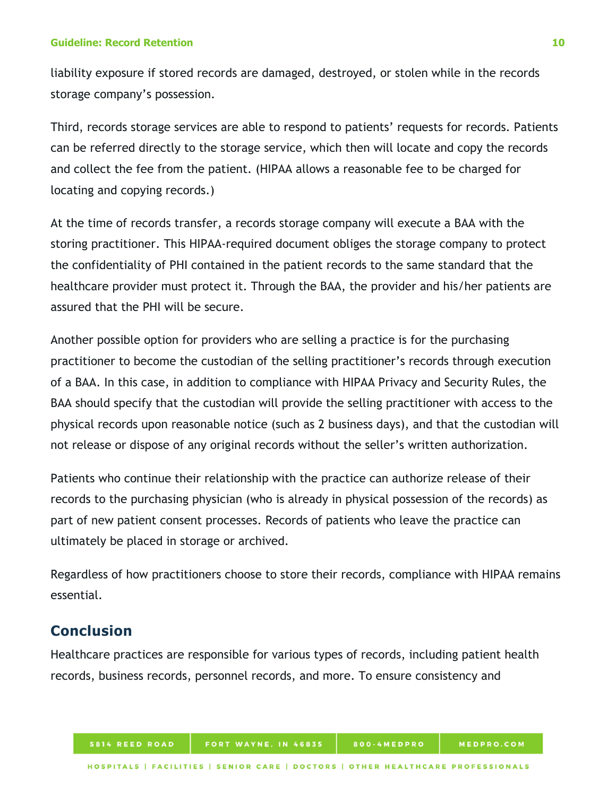liability exposure if stored records are damaged, destroyed, or stolen while in the records storage company's possession.

Third, records storage services are able to respond to patients' requests for records. Patients can be referred directly to the storage service, which then will locate and copy the records and collect the fee from the patient. (HIPAA allows a reasonable fee to be charged for locating and copying records.)

At the time of records transfer, a records storage company will execute a BAA with the storing practitioner. This HIPAA-required document obliges the storage company to protect the confidentiality of PHI contained in the patient records to the same standard that the healthcare provider must protect it. Through the BAA, the provider and his/her patients are assured that the PHI will be secure.

Another possible option for providers who are selling a practice is for the purchasing practitioner to become the custodian of the selling practitioner's records through execution of a BAA. In this case, in addition to compliance with HIPAA Privacy and Security Rules, the BAA should specify that the custodian will provide the selling practitioner with access to the physical records upon reasonable notice (such as 2 business days), and that the custodian will not release or dispose of any original records without the seller's written authorization.

Patients who continue their relationship with the practice can authorize release of their records to the purchasing physician (who is already in physical possession of the records) as part of new patient consent processes. Records of patients who leave the practice can ultimately be placed in storage or archived.

Regardless of how practitioners choose to store their records, compliance with HIPAA remains essential.

# <span id="page-13-0"></span>**Conclusion**

Healthcare practices are responsible for various types of records, including patient health records, business records, personnel records, and more. To ensure consistency and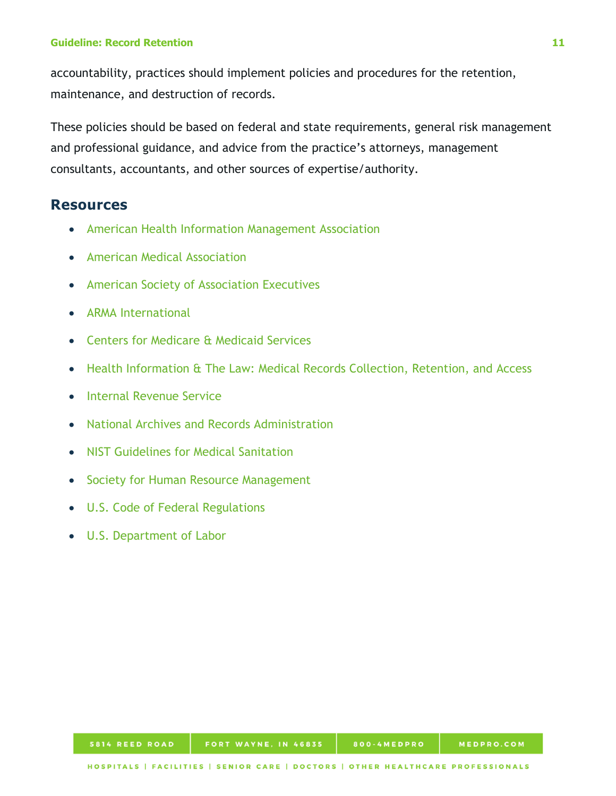accountability, practices should implement policies and procedures for the retention, maintenance, and destruction of records.

These policies should be based on federal and state requirements, general risk management and professional guidance, and advice from the practice's attorneys, management consultants, accountants, and other sources of expertise/authority.

## <span id="page-14-0"></span>**Resources**

- [American Health Information Management Association](http://www.ahima.org/)
- [American Medical Association](https://www.ama-assn.org/)
- [American Society of Association Executives](https://www.asaecenter.org/)
- [ARMA International](http://www.arma.org/)
- [Centers for Medicare & Medicaid Services](https://www.cms.gov/)
- [Health Information & The Law: Medical Records Collection, Retention, and Access](http://www.healthinfolaw.org/topics/60)
- [Internal Revenue Service](https://www.irs.gov/)
- [National Archives and Records Administration](http://www.archives.gov/)
- [NIST Guidelines for Medical Sanitation](http://nvlpubs.nist.gov/nistpubs/SpecialPublications/NIST.SP.800-88r1.pdf)
- [Society for Human Resource Management](https://www.shrm.org/)
- [U.S. Code of Federal Regulations](https://www.gpo.gov/fdsys/browse/collectionCfr.action?collectionCode=CFR)
- <span id="page-14-1"></span>• [U.S. Department of Labor](https://www.dol.gov/)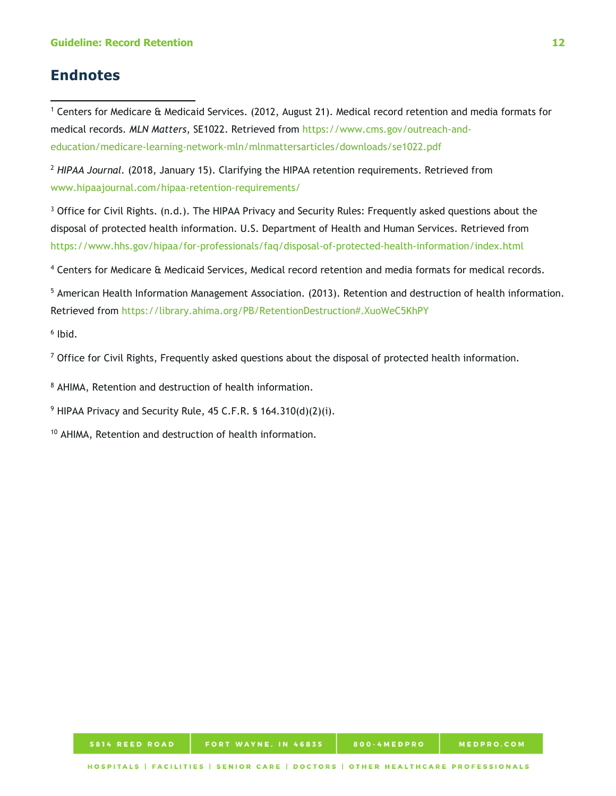## **Endnotes**

l

<span id="page-15-0"></span><sup>1</sup> Centers for Medicare & Medicaid Services. (2012, August 21). Medical record retention and media formats for medical records. *MLN Matters*, SE1022. Retrieved from [https://www.cms.gov/outreach-and](https://www.cms.gov/outreach-and-education/medicare-learning-network-mln/mlnmattersarticles/downloads/se1022.pdf)[education/medicare-learning-network-mln/mlnmattersarticles/downloads/se1022.pdf](https://www.cms.gov/outreach-and-education/medicare-learning-network-mln/mlnmattersarticles/downloads/se1022.pdf)

<span id="page-15-1"></span><sup>2</sup> *HIPAA Journal.* (2018, January 15). Clarifying the HIPAA retention requirements. Retrieved from [www.hipaajournal.com/hipaa-retention-requirements/](http://www.hipaajournal.com/hipaa-retention-requirements/)

<span id="page-15-2"></span><sup>3</sup> Office for Civil Rights. (n.d.). The HIPAA Privacy and Security Rules: Frequently asked questions about the disposal of protected health information. U.S. Department of Health and Human Services. Retrieved from <https://www.hhs.gov/hipaa/for-professionals/faq/disposal-of-protected-health-information/index.html>

<span id="page-15-3"></span><sup>4</sup> Centers for Medicare & Medicaid Services, Medical record retention and media formats for medical records.

<span id="page-15-4"></span><sup>5</sup> American Health Information Management Association. (2013). Retention and destruction of health information. Retrieved from<https://library.ahima.org/PB/RetentionDestruction#.XuoWeC5KhPY>

<span id="page-15-5"></span> $6$  Ibid.

<span id="page-15-6"></span><sup>7</sup> Office for Civil Rights, Frequently asked questions about the disposal of protected health information.

<span id="page-15-7"></span><sup>8</sup> AHIMA, Retention and destruction of health information.

<span id="page-15-8"></span><sup>9</sup> HIPAA Privacy and Security Rule, 45 C.F.R. § 164.310(d)(2)(i).

<span id="page-15-9"></span><sup>10</sup> AHIMA, Retention and destruction of health information.